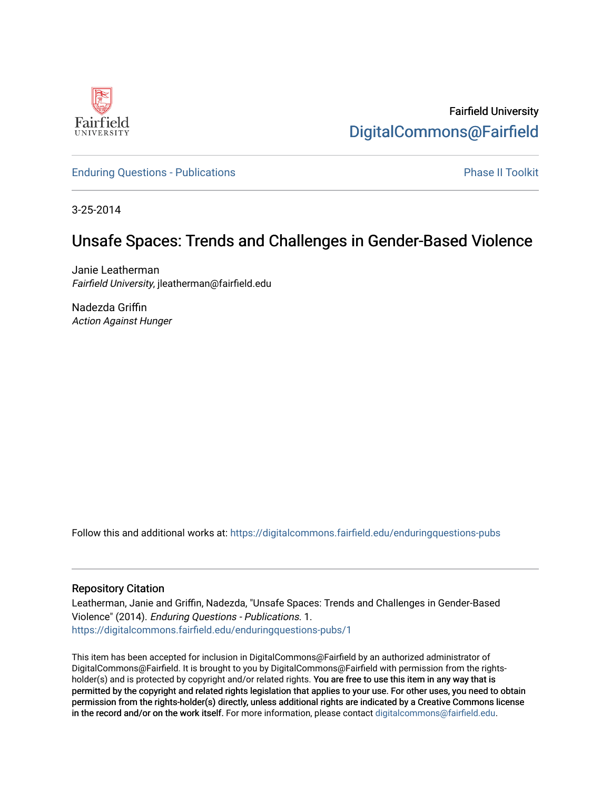

Fairfield University [DigitalCommons@Fairfield](https://digitalcommons.fairfield.edu/) 

[Enduring Questions - Publications](https://digitalcommons.fairfield.edu/enduringquestions-pubs) **Phase II Toolkit** Phase II Toolkit

3-25-2014

## Unsafe Spaces: Trends and Challenges in Gender-Based Violence

Janie Leatherman Fairfield University, jleatherman@fairfield.edu

Nadezda Griffin Action Against Hunger

Follow this and additional works at: [https://digitalcommons.fairfield.edu/enduringquestions-pubs](https://digitalcommons.fairfield.edu/enduringquestions-pubs?utm_source=digitalcommons.fairfield.edu%2Fenduringquestions-pubs%2F1&utm_medium=PDF&utm_campaign=PDFCoverPages) 

#### Repository Citation

Leatherman, Janie and Griffin, Nadezda, "Unsafe Spaces: Trends and Challenges in Gender-Based Violence" (2014). Enduring Questions - Publications. 1. [https://digitalcommons.fairfield.edu/enduringquestions-pubs/1](https://digitalcommons.fairfield.edu/enduringquestions-pubs/1?utm_source=digitalcommons.fairfield.edu%2Fenduringquestions-pubs%2F1&utm_medium=PDF&utm_campaign=PDFCoverPages) 

This item has been accepted for inclusion in DigitalCommons@Fairfield by an authorized administrator of DigitalCommons@Fairfield. It is brought to you by DigitalCommons@Fairfield with permission from the rightsholder(s) and is protected by copyright and/or related rights. You are free to use this item in any way that is permitted by the copyright and related rights legislation that applies to your use. For other uses, you need to obtain permission from the rights-holder(s) directly, unless additional rights are indicated by a Creative Commons license in the record and/or on the work itself. For more information, please contact [digitalcommons@fairfield.edu.](mailto:digitalcommons@fairfield.edu)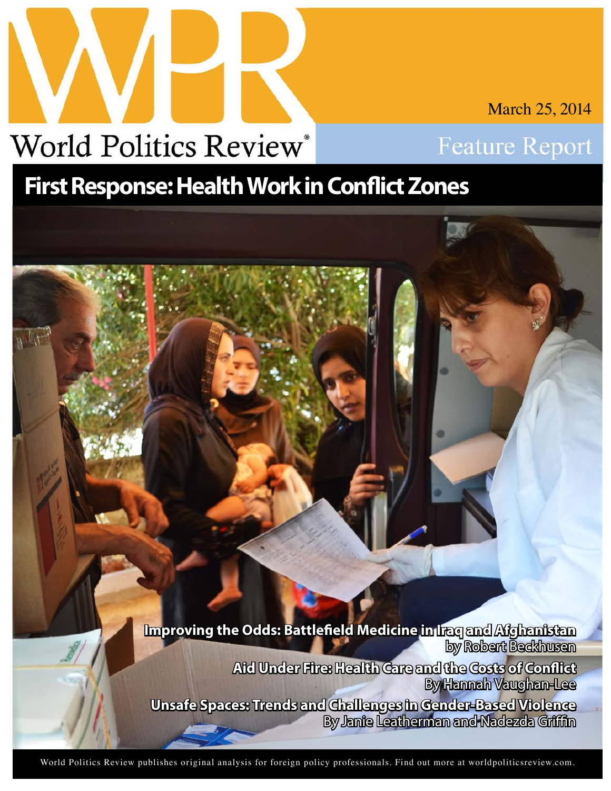

March 25, 2014



# **First Response: Health Work in Conflict Zones**

**Improving the Odds: Battlefield Medicine in Iraq and Afghanistan** by Robert Beckhusen **Aid Under Fire: Health Care and the Costs of Conflict** By Hannah Vaughan-Lee **Unsafe Spaces: Trends and Challenges in Gender-Based Violence** By Janie Leatherman and Nadezda Griffin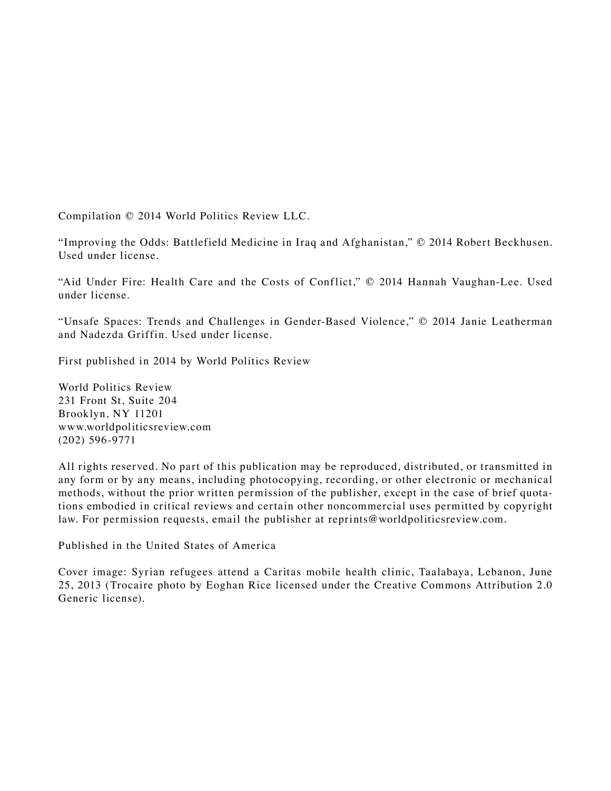Compilation © 2014 World Politics Review LLC.

"Improving the Odds: Battlefield Medicine in Iraq and Afghanistan," © 2014 Robert Beckhusen. Used under license.

"Aid Under Fire: Health Care and the Costs of Conflict," © 2014 Hannah Vaughan-Lee. Used under license.

"Unsafe Spaces: Trends and Challenges in Gender-Based Violence," © 2014 Janie Leatherman and Nadezda Griffin. Used under license.

First published in 2014 by World Politics Review

World Politics Review 231 Front St, Suite 204 Brooklyn, NY 11201 www.worldpoliticsreview.com (202) 596-9771

All rights reserved. No part of this publication may be reproduced, distributed, or transmitted in any form or by any means, including photocopying, recording, or other electronic or mechanical methods, without the prior written permission of the publisher, except in the case of brief quotations embodied in critical reviews and certain other noncommercial uses permitted by copyright law. For permission requests, email the publisher at reprints@worldpoliticsreview.com.

Published in the United States of America

Cover image: Syrian refugees attend a Caritas mobile health clinic, Taalabaya, Lebanon, June 25, 2013 (Trocaire photo by Eoghan Rice licensed under the Creative Commons Attribution 2.0 Generic license).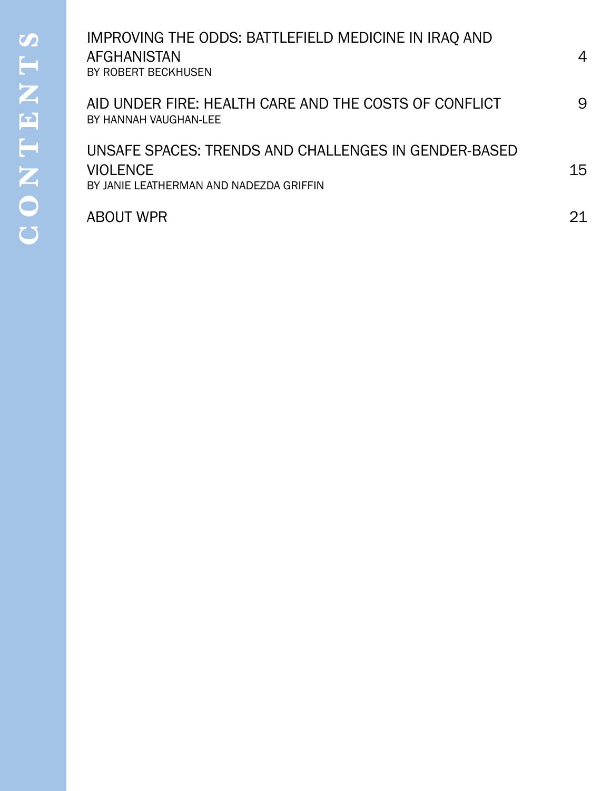## **WORLD POLITICS REVIEW** was created for foreign policy professionals who have a [AID UNDER FIRE: HEALTH CARE AND THE COSTS OF CONFLICT](#page-9-0) 9 UNSAFE SPACES: TRENDS AND CHALLENGES IN GENDER-BASED to understand the trends behind the trends behind the news. The news. The news. The news. The news. The news. IMPROVING THE ODDS: BATTLEFIELD MEDICINE IN IRAO AND  $\begin{array}{c} \text{max} \ \text{normal} \ \text{normal} \ \text{normal} \ \text{normal} \ \text{normal} \ \text{normal} \ \text{normal} \ \text{normal} \ \text{normal} \ \text{normal} \ \text{normal} \ \text{normal} \ \text{normal} \ \text{normal} \ \text{normal} \ \text{normal} \ \text{normal} \ \text{normal} \ \text{normal} \ \text{normal} \ \text{normal} \ \text{normal} \ \text{normal} \ \text{normal} \ \text{normal} \ \text{normal} \ \text{normal} \ \text{normal} \ \text{normal} \ \text{normal} \ \text{normal} \ \text{normal} \ \text{normal} \ \text{normal} \ \text{$ [IMPROVING THE ODDS: BATTLEFIELD MEDICINE IN IRAQ AND](#page-4-0)  AFGHANISTAN 4 [BY ROBERT BECKHUSEN](#page-4-0)  [BY HANNAH VAUGHAN-LEE](#page-9-0)

[BY JANIE LEATHERMAN AND NADEZDA GRIFFIN](#page-15-0)

## journalists and scholars. Our nonparticles cover diplomacy, military articles cover diplomacy, military articles cover diplomacy, military articles cover diplomacy, military articles cover diplomacy, military articles cove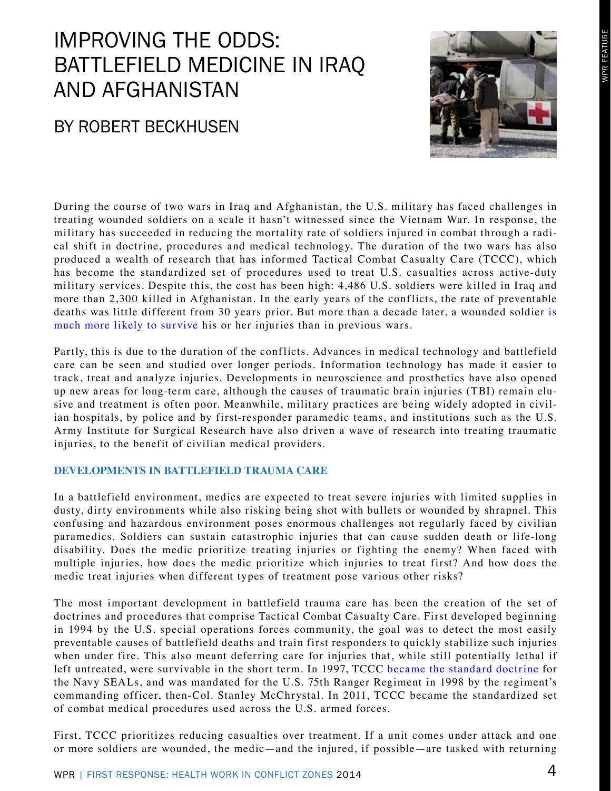# <span id="page-4-0"></span>IMPROVING THE ODDS: BATTLEFIELD MEDICINE IN IRAQ AND AFGHANISTAN

## BY ROBERT BECKHUSEN



During the course of two wars in Iraq and Afghanistan, the U.S. military has faced challenges in treating wounded soldiers on a scale it hasn't witnessed since the Vietnam War. In response, the military has succeeded in reducing the mortality rate of soldiers injured in combat through a radical shift in doctrine, procedures and medical technology. The duration of the two wars has also produced a wealth of research that has informed Tactical Combat Casualty Care (TCCC), which has become the standardized set of procedures used to treat U.S. casualties across active-duty military services. Despite this, the cost has been high: 4,486 U.S. soldiers were killed in Iraq and more than 2,300 killed in Afghanistan. In the early years of the conflicts, the rate of preventable deaths was little different from 30 years prior. But more than a decade later, a wounded soldier [is](http://www.specialoperationsmedicine.org/TCCC_Butler_A_Decade_of_TCCC_J _Trauma_2012.pdf)  [much more likely to survive](http://www.specialoperationsmedicine.org/TCCC_Butler_A_Decade_of_TCCC_J _Trauma_2012.pdf) his or her injuries than in previous wars.

Partly, this is due to the duration of the conflicts. Advances in medical technology and battlefield care can be seen and studied over longer periods. Information technology has made it easier to track, treat and analyze injuries. Developments in neuroscience and prosthetics have also opened up new areas for long-term care, although the causes of traumatic brain injuries (TBI) remain elusive and treatment is often poor. Meanwhile, military practices are being widely adopted in civilian hospitals, by police and by first-responder paramedic teams, and institutions such as the U.S. Army Institute for Surgical Research have also driven a wave of research into treating traumatic injuries, to the benefit of civilian medical providers.

## **DEVELOPMENTS IN BATTLEFIELD TRAUMA CARE**

In a battlefield environment, medics are expected to treat severe injuries with limited supplies in dusty, dirty environments while also risking being shot with bullets or wounded by shrapnel. This confusing and hazardous environment poses enormous challenges not regularly faced by civilian paramedics. Soldiers can sustain catastrophic injuries that can cause sudden death or life-long disability. Does the medic prioritize treating injuries or fighting the enemy? When faced with multiple injuries, how does the medic prioritize which injuries to treat first? And how does the medic treat injuries when different types of treatment pose various other risks?

The most important development in battlefield trauma care has been the creation of the set of doctrines and procedures that comprise Tactical Combat Casualty Care. First developed beginning in 1994 by the U.S. special operations forces community, the goal was to detect the most easily preventable causes of battlefield deaths and train first responders to quickly stabilize such injuries when under fire. This also meant deferring care for injuries that, while still potentially lethal if left untreated, were survivable in the short term. In 1997, TCCC [became the standard doctrine](http://www.ntoa.org/massemail/CarmonaW12.pdf) for the Navy SEALs, and was mandated for the U.S. 75th Ranger Regiment in 1998 by the regiment's commanding officer, then-Col. Stanley McChrystal. In 2011, TCCC became the standardized set of combat medical procedures used across the U.S. armed forces.

First, TCCC prioritizes reducing casualties over treatment. If a unit comes under attack and one or more soldiers are wounded, the medic—and the injured, if possible—are tasked with returning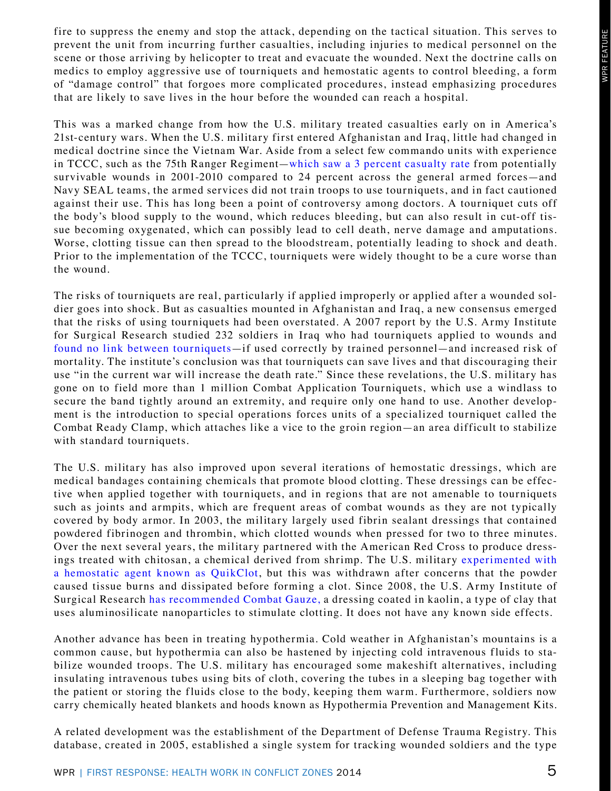fire to suppress the enemy and stop the attack, depending on the tactical situation. This serves to prevent the unit from incurring further casualties, including injuries to medical personnel on the scene or those arriving by helicopter to treat and evacuate the wounded. Next the doctrine calls on medics to employ aggressive use of tourniquets and hemostatic agents to control bleeding, a form of "damage control" that forgoes more complicated procedures, instead emphasizing procedures that are likely to save lives in the hour before the wounded can reach a hospital.

This was a marked change from how the U.S. military treated casualties early on in America's 21st-century wars. When the U.S. military first entered Afghanistan and Iraq, little had changed in medical doctrine since the Vietnam War. Aside from a select few commando units with experience in TCCC, such as the 75th Ranger Regiment[—which saw a 3 percent casualty rate](https://www.google.com/url?sa=t&rct=j&q=&esrc=s&source=web&cd=3&cad=rja&uact=8&ved=0CDoQFjAC&url=http%3A%2F%2Fwww.dtic.mil%2Fcgi-bin%2FGetTRDoc%3FAD%3DADA549496&ei=t8AsU--sBaO42wWzwIHYDQ&usg=AFQjCNHKtzp5TLSgCpTPyqIC5RcglHX_-w&sig2=Ec4gC3sV-hrFgJbExcupig) from potentially survivable wounds in 2001-2010 compared to 24 percent across the general armed forces—and Navy SEAL teams, the armed services did not train troops to use tourniquets, and in fact cautioned against their use. This has long been a point of controversy among doctors. A tourniquet cuts off the body's blood supply to the wound, which reduces bleeding, but can also result in cut-off tissue becoming oxygenated, which can possibly lead to cell death, nerve damage and amputations. Worse, clotting tissue can then spread to the bloodstream, potentially leading to shock and death. Prior to the implementation of the TCCC, tourniquets were widely thought to be a cure worse than the wound.

The risks of tourniquets are real, particularly if applied improperly or applied after a wounded soldier goes into shock. But as casualties mounted in Afghanistan and Iraq, a new consensus emerged that the risks of using tourniquets had been overstated. A 2007 report by the U.S. Army Institute for Surgical Research studied 232 soldiers in Iraq who had tourniquets applied to wounds and [found no link between tourniquets—](http://www.dtic.mil/cgi-bin/GetTRDoc?AD=ADA480277)if used correctly by trained personnel—and increased risk of mortality. The institute's conclusion was that tourniquets can save lives and that discouraging their use "in the current war will increase the death rate." Since these revelations, the U.S. military has gone on to field more than 1 million Combat Application Tourniquets, which use a windlass to secure the band tightly around an extremity, and require only one hand to use. Another development is the introduction to special operations forces units of a specialized tourniquet called the Combat Ready Clamp, which attaches like a vice to the groin region—an area difficult to stabilize with standard tourniquets.

The U.S. military has also improved upon several iterations of hemostatic dressings, which are medical bandages containing chemicals that promote blood clotting. These dressings can be effective when applied together with tourniquets, and in regions that are not amenable to tourniquets such as joints and armpits, which are frequent areas of combat wounds as they are not typically covered by body armor. In 2003, the military largely used fibrin sealant dressings that contained powdered fibrinogen and thrombin, which clotted wounds when pressed for two to three minutes. Over the next several years, the military partnered with the American Red Cross to produce dressings treated with chitosan, a chemical derived from shrimp. The U.S. military [experimented with](http://www.naemt.org/Libraries/Trauma Resources/Prehospital Tobpical Hemostatic Agents.sflb) [a hemostatic agent known as QuikClot](http://www.naemt.org/Libraries/Trauma Resources/Prehospital Tobpical Hemostatic Agents.sflb), but this was withdrawn after concerns that the powder caused tissue burns and dissipated before forming a clot. Since 2008, the U.S. Army Institute of Surgical Research [has recommended Combat Gauze,](http://www.wired.com/medtech/health/news/2008/04/blood_clotting) a dressing coated in kaolin, a type of clay that uses aluminosilicate nanoparticles to stimulate clotting. It does not have any known side effects.

Another advance has been in treating hypothermia. Cold weather in Afghanistan's mountains is a common cause, but hypothermia can also be hastened by injecting cold intravenous fluids to stabilize wounded troops. The U.S. military has encouraged some makeshift alternatives, including insulating intravenous tubes using bits of cloth, covering the tubes in a sleeping bag together with the patient or storing the fluids close to the body, keeping them warm. Furthermore, soldiers now carry chemically heated blankets and hoods known as Hypothermia Prevention and Management Kits.

A related development was the establishment of the Department of Defense Trauma Registry. This database, created in 2005, established a single system for tracking wounded soldiers and the type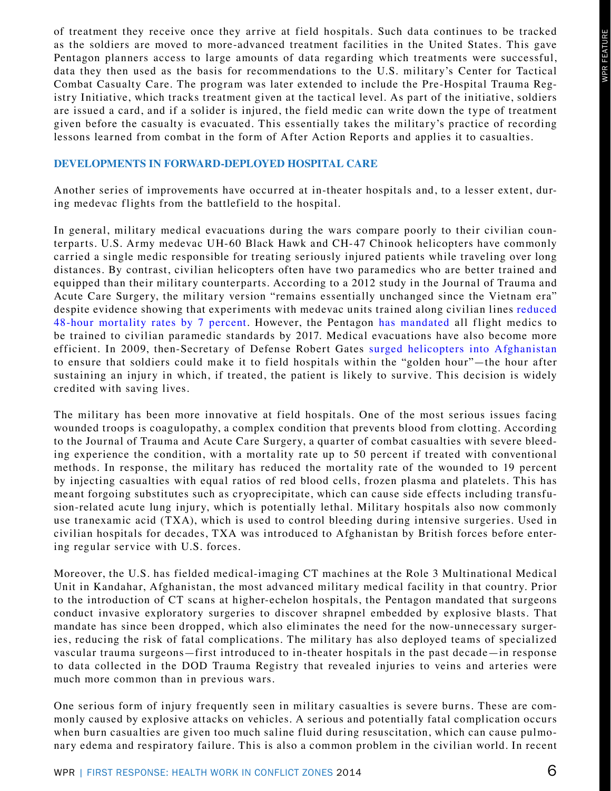of treatment they receive once they arrive at field hospitals. Such data continues to be tracked as the soldiers are moved to more-advanced treatment facilities in the United States. This gave Pentagon planners access to large amounts of data regarding which treatments were successful, data they then used as the basis for recommendations to the U.S. military's Center for Tactical Combat Casualty Care. The program was later extended to include the Pre-Hospital Trauma Registry Initiative, which tracks treatment given at the tactical level. As part of the initiative, soldiers are issued a card, and if a solider is injured, the field medic can write down the type of treatment given before the casualty is evacuated. This essentially takes the military's practice of recording lessons learned from combat in the form of After Action Reports and applies it to casualties.

#### **DEVELOPMENTS IN FORWARD-DEPLOYED HOSPITAL CARE**

Another series of improvements have occurred at in-theater hospitals and, to a lesser extent, during medevac flights from the battlefield to the hospital.

In general, military medical evacuations during the wars compare poorly to their civilian counterparts. U.S. Army medevac UH-60 Black Hawk and CH-47 Chinook helicopters have commonly carried a single medic responsible for treating seriously injured patients while traveling over long distances. By contrast, civilian helicopters often have two paramedics who are better trained and equipped than their military counterparts. According to a 2012 study in the Journal of Trauma and Acute Care Surgery, the military version "remains essentially unchanged since the Vietnam era" despite evidence showing that experiments with medevac units trained along civilian lines [reduced](http://journals.lww.com/jtrauma/Fulltext/2012/12005/Military_medical_revolution___Deployed_hospital.3.aspx#P184)  [48-hour mortality rates by 7 percent](http://journals.lww.com/jtrauma/Fulltext/2012/12005/Military_medical_revolution___Deployed_hospital.3.aspx#P184). However, the Pentagon [has mandated](http://www.army.mil/article/112860/Military_medical_advances_in_combat_can_help_civilians_at_home) all flight medics to be trained to civilian paramedic standards by 2017. Medical evacuations have also become more efficient. In 2009, then-Secretary of Defense Robert Gates [surged helicopters into Afghanistan](http://www.nytimes.com/2009/01/28/washington/28military.html?_r=0) to ensure that soldiers could make it to field hospitals within the "golden hour"—the hour after sustaining an injury in which, if treated, the patient is likely to survive. This decision is widely credited with saving lives.

The military has been more innovative at field hospitals. One of the most serious issues facing wounded troops is coagulopathy, a complex condition that prevents blood from clotting. According to the Journal of Trauma and Acute Care Surgery, a quarter of combat casualties with severe bleeding experience the condition, with a mortality rate up to 50 percent if treated with conventional methods. In response, the military has reduced the mortality rate of the wounded to 19 percent by injecting casualties with equal ratios of red blood cells, frozen plasma and platelets. This has meant forgoing substitutes such as cryoprecipitate, which can cause side effects including transfusion-related acute lung injury, which is potentially lethal. Military hospitals also now commonly use tranexamic acid (TXA), which is used to control bleeding during intensive surgeries. Used in civilian hospitals for decades, TXA was introduced to Afghanistan by British forces before entering regular service with U.S. forces.

Moreover, the U.S. has fielded medical-imaging CT machines at the Role 3 Multinational Medical Unit in Kandahar, Afghanistan, the most advanced military medical facility in that country. Prior to the introduction of CT scans at higher-echelon hospitals, the Pentagon mandated that surgeons conduct invasive exploratory surgeries to discover shrapnel embedded by explosive blasts. That mandate has since been dropped, which also eliminates the need for the now-unnecessary surgeries, reducing the risk of fatal complications. The military has also deployed teams of specialized vascular trauma surgeons—first introduced to in-theater hospitals in the past decade—in response to data collected in the DOD Trauma Registry that revealed injuries to veins and arteries were much more common than in previous wars.

One serious form of injury frequently seen in military casualties is severe burns. These are commonly caused by explosive attacks on vehicles. A serious and potentially fatal complication occurs when burn casualties are given too much saline fluid during resuscitation, which can cause pulmonary edema and respiratory failure. This is also a common problem in the civilian world. In recent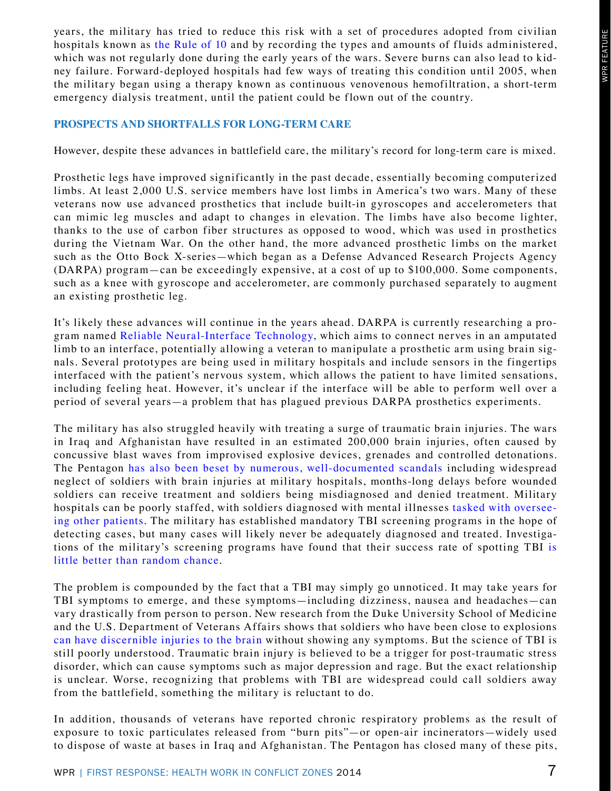years, the military has tried to reduce this risk with a set of procedures adopted from civilian hospitals known as [the Rule of 10](http://academiclifeinem.com/trick-of-trade-rule-of-10s-for-burn-fluid-resuscitation) and by recording the types and amounts of fluids administered, which was not regularly done during the early years of the wars. Severe burns can also lead to kidney failure. Forward-deployed hospitals had few ways of treating this condition until 2005, when the military began using a therapy known as continuous venovenous hemofiltration, a short-term emergency dialysis treatment, until the patient could be flown out of the country.

### **PROSPECTS AND SHORTFALLS FOR LONG-TERM CARE**

However, despite these advances in battlefield care, the military's record for long-term care is mixed.

Prosthetic legs have improved significantly in the past decade, essentially becoming computerized limbs. At least 2,000 U.S. service members have lost limbs in America's two wars. Many of these veterans now use advanced prosthetics that include built-in gyroscopes and accelerometers that can mimic leg muscles and adapt to changes in elevation. The limbs have also become lighter, thanks to the use of carbon fiber structures as opposed to wood, which was used in prosthetics during the Vietnam War. On the other hand, the more advanced prosthetic limbs on the market such as the Otto Bock X-series—which began as a Defense Advanced Research Projects Agency (DARPA) program—can be exceedingly expensive, at a cost of up to \$100,000. Some components, such as a knee with gyroscope and accelerometer, are commonly purchased separately to augment an existing prosthetic leg.

It's likely these advances will continue in the years ahead. DARPA is currently researching a program named [Reliable Neural-Interface Technology,](http://www.darpa.mil/Our_Work/MTO/Programs/Reliable_Neural-Interface_Technology_%28RE-NET%29.aspx) which aims to connect nerves in an amputated limb to an interface, potentially allowing a veteran to manipulate a prosthetic arm using brain signals. Several prototypes are being used in military hospitals and include sensors in the fingertips interfaced with the patient's nervous system, which allows the patient to have limited sensations, including feeling heat. However, it's unclear if the interface will be able to perform well over a period of several years—a problem that has plagued previous DARPA prosthetics experiments.

The military has also struggled heavily with treating a surge of traumatic brain injuries. The wars in Iraq and Afghanistan have resulted in an estimated 200,000 brain injuries, often caused by concussive blast waves from improvised explosive devices, grenades and controlled detonations. The Pentagon [has also been beset by numerous, well-documented scandals](http://www.wired.com/dangerroom/2012/03/army-tbi-treatment) including widespread neglect of soldiers with brain injuries at military hospitals, months-long delays before wounded soldiers can receive treatment and soldiers being misdiagnosed and denied treatment. Military hospitals can be poorly staffed, with soldiers diagnosed with mental illnesses [tasked with oversee](http://www.washingtonpost.com/wp-dyn/content/article/2007/02/17/AR2007021701172.html)[ing other patients.](http://www.washingtonpost.com/wp-dyn/content/article/2007/02/17/AR2007021701172.html) The military has established mandatory TBI screening programs in the hope of detecting cases, but many cases will likely never be adequately diagnosed and treated. Investigations of the military's screening programs have found that their success rate of spotting TBI [is](http://www.propublica.org/article/brain-injuries-remain-undiagnosed-in-thousands-of-soldiers) [little better than random chance](http://www.propublica.org/article/brain-injuries-remain-undiagnosed-in-thousands-of-soldiers).

The problem is compounded by the fact that a TBI may simply go unnoticed. It may take years for TBI symptoms to emerge, and these symptoms—including dizziness, nausea and headaches—can vary drastically from person to person. New research from the Duke University School of Medicine and the U.S. Department of Veterans Affairs shows that soldiers who have been close to explosions [can have discernible injuries to the brain](http://journals.lww.com/headtraumarehab/Abstract/publishahead/White_Matter_Compromise_in_Veterans_Exposed_to.99797.aspx) without showing any symptoms. But the science of TBI is still poorly understood. Traumatic brain injury is believed to be a trigger for post-traumatic stress disorder, which can cause symptoms such as major depression and rage. But the exact relationship is unclear. Worse, recognizing that problems with TBI are widespread could call soldiers away from the battlefield, something the military is reluctant to do.

In addition, thousands of veterans have reported chronic respiratory problems as the result of exposure to toxic particulates released from "burn pits"—or open-air incinerators—widely used to dispose of waste at bases in Iraq and Afghanistan. The Pentagon has closed many of these pits,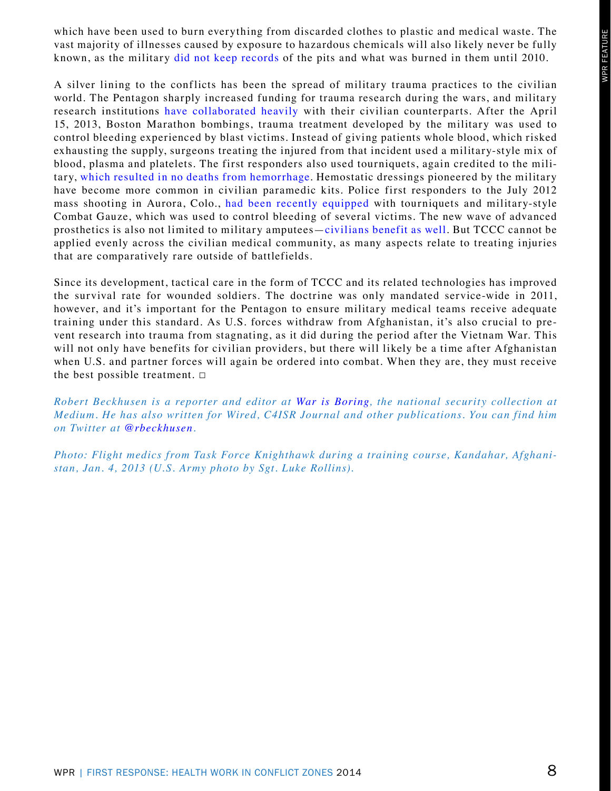which have been used to burn everything from discarded clothes to plastic and medical waste. The vast majority of illnesses caused by exposure to hazardous chemicals will also likely never be fully known, as the military [did not keep records](http://www.theverge.com/2013/10/28/4771164/the-next-agent-orange-why-burn-pits-are-making-soldiers-sick) of the pits and what was burned in them until 2010.

A silver lining to the conflicts has been the spread of military trauma practices to the civilian world. The Pentagon sharply increased funding for trauma research during the wars, and military research institutions [have collaborated heavily](http://www.researchtrends.com/issue-34-september-2013/military-medicine-and-its-impact-on-civilian-life) with their civilian counterparts. After the April 15, 2013, Boston Marathon bombings, trauma treatment developed by the military was used to control bleeding experienced by blast victims. Instead of giving patients whole blood, which risked exhausting the supply, surgeons treating the injured from that incident used a military-style mix of blood, plasma and platelets. The first responders also used tourniquets, again credited to the military, [which resulted in no deaths from hemorrhage.](http://commonhealth.wbur.org/2013/04/boston-blood-loss-advances#more-29294) Hemostatic dressings pioneered by the military have become more common in civilian paramedic kits. Police first responders to the July 2012 mass shooting in Aurora, Colo., [had been recently equipped](http://www.ntoa.org/massemail/CarmonaW12.pdf) with tourniquets and military-style Combat Gauze, which was used to control bleeding of several victims. The new wave of advanced prosthetics is also not limited to military amputees—[civilians benefit as well](http://articles.orlandosentinel.com/2011-06-03/news/os-military-medicine-20110603-11_1_medical-simulation-prosthetic-medical-facility). But TCCC cannot be applied evenly across the civilian medical community, as many aspects relate to treating injuries that are comparatively rare outside of battlefields.

Since its development, tactical care in the form of TCCC and its related technologies has improved the survival rate for wounded soldiers. The doctrine was only mandated service-wide in 2011, however, and it's important for the Pentagon to ensure military medical teams receive adequate training under this standard. As U.S. forces withdraw from Afghanistan, it's also crucial to prevent research into trauma from stagnating, as it did during the period after the Vietnam War. This will not only have benefits for civilian providers, but there will likely be a time after Afghanistan when U.S. and partner forces will again be ordered into combat. When they are, they must receive the best possible treatment.  $\square$ 

*Robert Beckhusen is a reporter and editor at [War is Boring](https://medium.com/war-is-boring), the national security collection at Medium. He has also written for Wired, C4ISR Journal and other publications. You can find him on Twitter at [@rbeckhusen](https://twitter.com/rbeckhusen).*

*Photo: Flight medics from Task Force Knighthawk during a training course, Kandahar, Afghanistan, Jan. 4, 2013 (U.S. Army photo by Sgt. Luke Rollins).*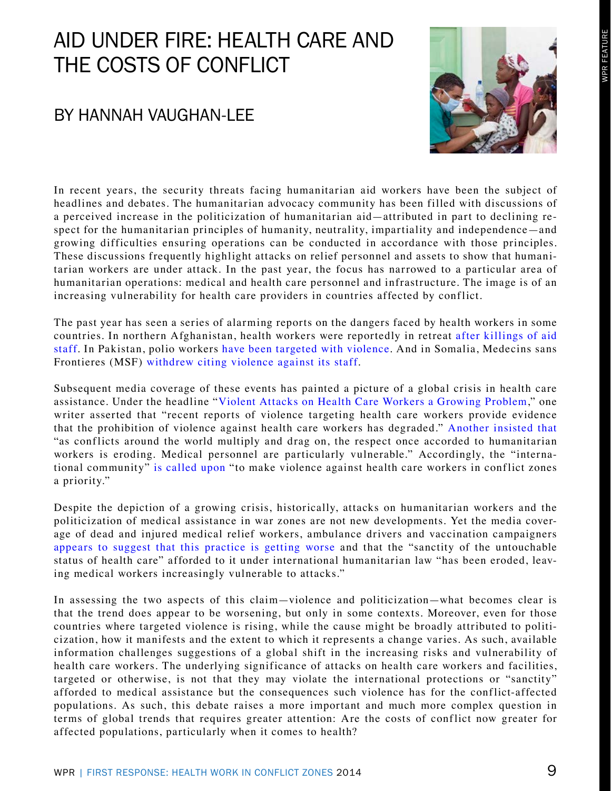# WPR FEATURE

# <span id="page-9-0"></span>AID UNDER FIRE: HEALTH CARE AND THE COSTS OF CONFLICT

## BY HANNAH VAUGHAN-LEE



In recent years, the security threats facing humanitarian aid workers have been the subject of headlines and debates. The humanitarian advocacy community has been filled with discussions of a perceived increase in the politicization of humanitarian aid—attributed in part to declining respect for the humanitarian principles of humanity, neutrality, impartiality and independence—and growing difficulties ensuring operations can be conducted in accordance with those principles. These discussions frequently highlight attacks on relief personnel and assets to show that humanitarian workers are under attack. In the past year, the focus has narrowed to a particular area of humanitarian operations: medical and health care personnel and infrastructure. The image is of an increasing vulnerability for health care providers in countries affected by conflict.

The past year has seen a series of alarming reports on the dangers faced by health workers in some countries. In northern Afghanistan, health workers were reportedly in retreat [after killings of aid](http://womennewsnetwork.net/2013/05/28/healthcare-aid-afghanistan-crisis)  [staff](http://womennewsnetwork.net/2013/05/28/healthcare-aid-afghanistan-crisis). In Pakistan, polio workers [have been targeted with violence.](http://www.aljazeera.com/indepth/features/2013/12/pakistan-polio-workers-targeted-killing-201312118364851379.html) And in Somalia, Medecins sans Frontieres (MSF) [withdrew citing violence against its staff.](http://www.npr.org/blogs/health/2013/08/14/211962951/violence-causes-doctors-without-borders-to-exit-somalia)

Subsequent media coverage of these events has painted a picture of a global crisis in health care assistance. Under the headline "[Violent Attacks on Health Care Workers a Growing Problem,](http://www.upmc-cbn.org/report_archive/2013/cbnreport_09132013.html)" one writer asserted that "recent reports of violence targeting health care workers provide evidence that the prohibition of violence against health care workers has degraded." [Another insisted that](http://www.swissinfo.ch/eng/politics/Rise_in_attacks_is_double_blow_in_crisis_zones.html?cid=32626412) "as conflicts around the world multiply and drag on, the respect once accorded to humanitarian workers is eroding. Medical personnel are particularly vulnerable." Accordingly, the "international community" [is called upon](http://www.ipolitics.ca/2013/09/27/attacks-on-medical-workers-in-conflict-zones-on-the-rise) "to make violence against health care workers in conflict zones a priority."

Despite the depiction of a growing crisis, historically, attacks on humanitarian workers and the politicization of medical assistance in war zones are not new developments. Yet the media coverage of dead and injured medical relief workers, ambulance drivers and vaccination campaigners [appears to suggest that this practice is getting worse](http://www.hpcrresearch.org/events/health-under-fire-targeting-medical-workers-conflict-zones-live-web-seminar-53) and that the "sanctity of the untouchable status of health care" afforded to it under international humanitarian law "has been eroded, leaving medical workers increasingly vulnerable to attacks."

In assessing the two aspects of this claim—violence and politicization—what becomes clear is that the trend does appear to be worsening, but only in some contexts. Moreover, even for those countries where targeted violence is rising, while the cause might be broadly attributed to politicization, how it manifests and the extent to which it represents a change varies. As such, available information challenges suggestions of a global shift in the increasing risks and vulnerability of health care workers. The underlying significance of attacks on health care workers and facilities, targeted or otherwise, is not that they may violate the international protections or "sanctity" afforded to medical assistance but the consequences such violence has for the conflict-affected populations. As such, this debate raises a more important and much more complex question in terms of global trends that requires greater attention: Are the costs of conflict now greater for affected populations, particularly when it comes to health?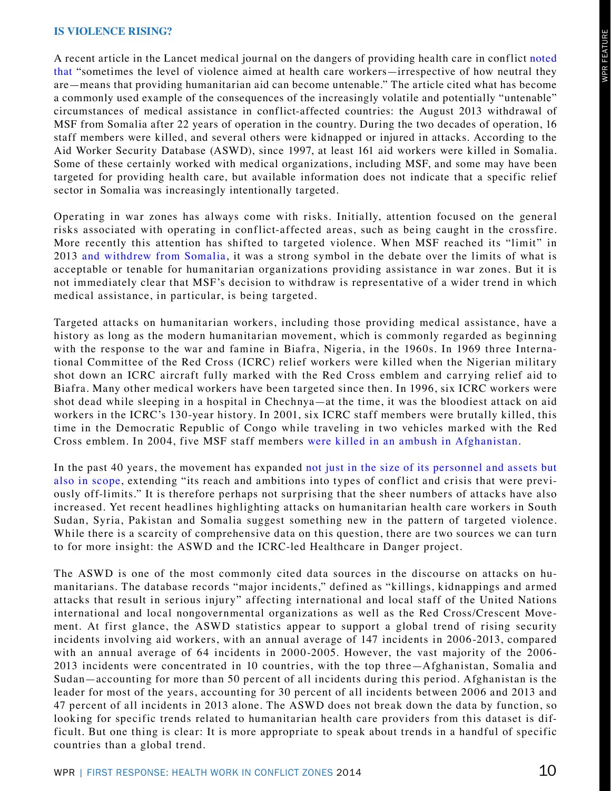#### **IS VIOLENCE RISING?**

A recent article in the Lancet medical journal on the dangers of providing health care in conflict [noted](http://www.thelancet.com/journals/lancet/article/PIIS0140-6736%2813%2962627-6/fulltext?rss=yes) [that](http://www.thelancet.com/journals/lancet/article/PIIS0140-6736%2813%2962627-6/fulltext?rss=yes) "sometimes the level of violence aimed at health care workers—irrespective of how neutral they are—means that providing humanitarian aid can become untenable." The article cited what has become a commonly used example of the consequences of the increasingly volatile and potentially "untenable" circumstances of medical assistance in conflict-affected countries: the August 2013 withdrawal of MSF from Somalia after 22 years of operation in the country. During the two decades of operation, 16 staff members were killed, and several others were kidnapped or injured in attacks. According to the Aid Worker Security Database (ASWD), since 1997, at least 161 aid workers were killed in Somalia. Some of these certainly worked with medical organizations, including MSF, and some may have been targeted for providing health care, but available information does not indicate that a specific relief sector in Somalia was increasingly intentionally targeted.

Operating in war zones has always come with risks. Initially, attention focused on the general risks associated with operating in conflict-affected areas, such as being caught in the crossfire. More recently this attention has shifted to targeted violence. When MSF reached its "limit" in 2013 [and withdrew from Somalia,](http://www.reuters.com/article/2013/08/14/us-somalia-msf-idUSBRE97D0LO20130814) it was a strong symbol in the debate over the limits of what is acceptable or tenable for humanitarian organizations providing assistance in war zones. But it is not immediately clear that MSF's decision to withdraw is representative of a wider trend in which medical assistance, in particular, is being targeted.

Targeted attacks on humanitarian workers, including those providing medical assistance, have a history as long as the modern humanitarian movement, which is commonly regarded as beginning with the response to the war and famine in Biafra, Nigeria, in the 1960s. In 1969 three International Committee of the Red Cross (ICRC) relief workers were killed when the Nigerian military shot down an ICRC aircraft fully marked with the Red Cross emblem and carrying relief aid to Biafra. Many other medical workers have been targeted since then. In 1996, six ICRC workers were shot dead while sleeping in a hospital in Chechnya—at the time, it was the bloodiest attack on aid workers in the ICRC's 130-year history. In 2001, six ICRC staff members were brutally killed, this time in the Democratic Republic of Congo while traveling in two vehicles marked with the Red Cross emblem. In 2004, five MSF staff members [were killed in an ambush in Afghanistan](http://nagarathinam.blogspot.com/2006/08/worst-recorded-attacks-on-aid-workers_16.html).

In the past 40 years, the movement has expanded [not just in the size of its personnel and assets](http://www.odi.org.uk/sites/odi.org.uk/files/odi-assets/publications-opinion-files/4243.pdf) [but](http://www.odi.org.uk/sites/odi.org.uk/files/odi-assets/publications-opinion-files/7643.pdf)  [also in scope](http://www.odi.org.uk/sites/odi.org.uk/files/odi-assets/publications-opinion-files/7643.pdf), extending "its reach and ambitions into types of conflict and crisis that were previously off-limits." It is therefore perhaps not surprising that the sheer numbers of attacks have also increased. Yet recent headlines highlighting attacks on humanitarian health care workers in South Sudan, Syria, Pakistan and Somalia suggest something new in the pattern of targeted violence. While there is a scarcity of comprehensive data on this question, there are two sources we can turn to for more insight: the ASWD and the ICRC-led Healthcare in Danger project.

The ASWD is one of the most commonly cited data sources in the discourse on attacks on humanitarians. The database records "major incidents," defined as "killings, kidnappings and armed attacks that result in serious injury" affecting international and local staff of the United Nations international and local nongovernmental organizations as well as the Red Cross/Crescent Movement. At first glance, the ASWD statistics appear to support a global trend of rising security incidents involving aid workers, with an annual average of 147 incidents in 2006-2013, compared with an annual average of 64 incidents in 2000-2005. However, the vast majority of the 2006- 2013 incidents were concentrated in 10 countries, with the top three—Afghanistan, Somalia and Sudan—accounting for more than 50 percent of all incidents during this period. Afghanistan is the leader for most of the years, accounting for 30 percent of all incidents between 2006 and 2013 and 47 percent of all incidents in 2013 alone. The ASWD does not break down the data by function, so looking for specific trends related to humanitarian health care providers from this dataset is difficult. But one thing is clear: It is more appropriate to speak about trends in a handful of specific countries than a global trend.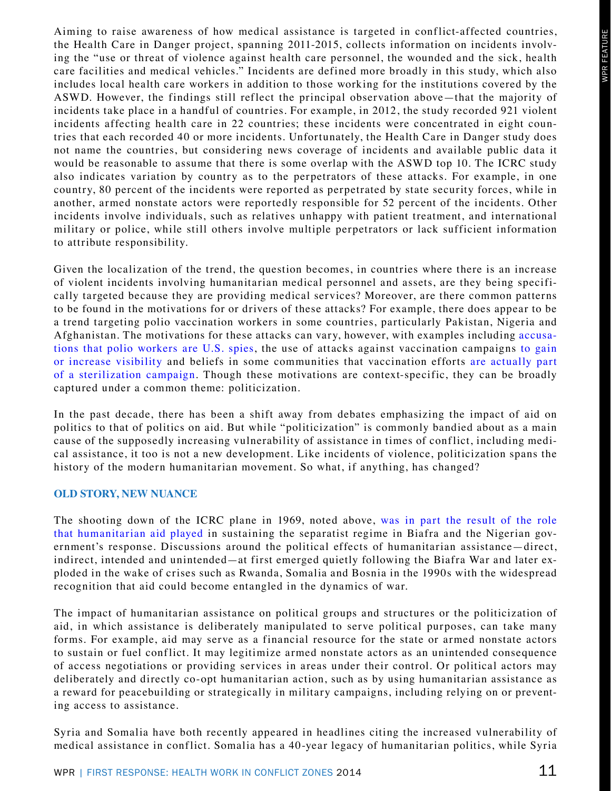Aiming to raise awareness of how medical assistance is targeted in conflict-affected countries, the Health Care in Danger project, spanning 2011-2015, collects information on incidents involving the "use or threat of violence against health care personnel, the wounded and the sick, health care facilities and medical vehicles." Incidents are defined more broadly in this study, which also includes local health care workers in addition to those working for the institutions covered by the ASWD. However, the findings still reflect the principal observation above—that the majority of incidents take place in a handful of countries. For example, in 2012, the study recorded 921 violent incidents affecting health care in 22 countries; these incidents were concentrated in eight countries that each recorded 40 or more incidents. Unfortunately, the Health Care in Danger study does not name the countries, but considering news coverage of incidents and available public data it would be reasonable to assume that there is some overlap with the ASWD top 10. The ICRC study also indicates variation by country as to the perpetrators of these attacks. For example, in one country, 80 percent of the incidents were reported as perpetrated by state security forces, while in another, armed nonstate actors were reportedly responsible for 52 percent of the incidents. Other incidents involve individuals, such as relatives unhappy with patient treatment, and international military or police, while still others involve multiple perpetrators or lack sufficient information to attribute responsibility.

Given the localization of the trend, the question becomes, in countries where there is an increase of violent incidents involving humanitarian medical personnel and assets, are they being specifically targeted because they are providing medical services? Moreover, are there common patterns to be found in the motivations for or drivers of these attacks? For example, there does appear to be a trend targeting polio vaccination workers in some countries, particularly Pakistan, Nigeria and Afghanistan. The motivations for these attacks can vary, however, with examples including [accusa](http://www.theguardian.com/world/2012/jun/26/taliban-bans-polio-vaccinations)[tions that polio workers are U.S. spies,](http://www.theguardian.com/world/2012/jun/26/taliban-bans-polio-vaccinations) the use of attacks against vaccination campaigns [to gain](http://hpcrresearch.org/events/health-under-fire-targeting-medical-workers-conflict-zones-live-web-seminar-53) [or increase visibility](http://hpcrresearch.org/events/health-under-fire-targeting-medical-workers-conflict-zones-live-web-seminar-53) and beliefs in some communities that vaccination efforts [are actually part](http://www.theguardian.com/world/2013/feb/08/polio-workers-nigeria-shot-dead) [of a sterilization campaign.](http://www.theguardian.com/world/2013/feb/08/polio-workers-nigeria-shot-dead) Though these motivations are context-specific, they can be broadly captured under a common theme: politicization.

In the past decade, there has been a shift away from debates emphasizing the impact of aid on politics to that of politics on aid. But while "politicization" is commonly bandied about as a main cause of the supposedly increasing vulnerability of assistance in times of conflict, including medical assistance, it too is not a new development. Like incidents of violence, politicization spans the history of the modern humanitarian movement. So what, if anything, has changed?

#### **OLD STORY, NEW NUANCE**

The shooting down of the ICRC plane in 1969, noted above, [was in part the result of the role](http://www.ajol.info/index.php/ad/article/download/57357/45737)  [that humanitarian aid played](http://www.ajol.info/index.php/ad/article/download/57357/45737) in sustaining the separatist regime in Biafra and the Nigerian government's response. Discussions around the political effects of humanitarian assistance—direct, indirect, intended and unintended—at first emerged quietly following the Biafra War and later exploded in the wake of crises such as Rwanda, Somalia and Bosnia in the 1990s with the widespread recognition that aid could become entangled in the dynamics of war.

The impact of humanitarian assistance on political groups and structures or the politicization of aid, in which assistance is deliberately manipulated to serve political purposes, can take many forms. For example, aid may serve as a financial resource for the state or armed nonstate actors to sustain or fuel conflict. It may legitimize armed nonstate actors as an unintended consequence of access negotiations or providing services in areas under their control. Or political actors may deliberately and directly co-opt humanitarian action, such as by using humanitarian assistance as a reward for peacebuilding or strategically in military campaigns, including relying on or preventing access to assistance.

Syria and Somalia have both recently appeared in headlines citing the increased vulnerability of medical assistance in conflict. Somalia has a 40-year legacy of humanitarian politics, while Syria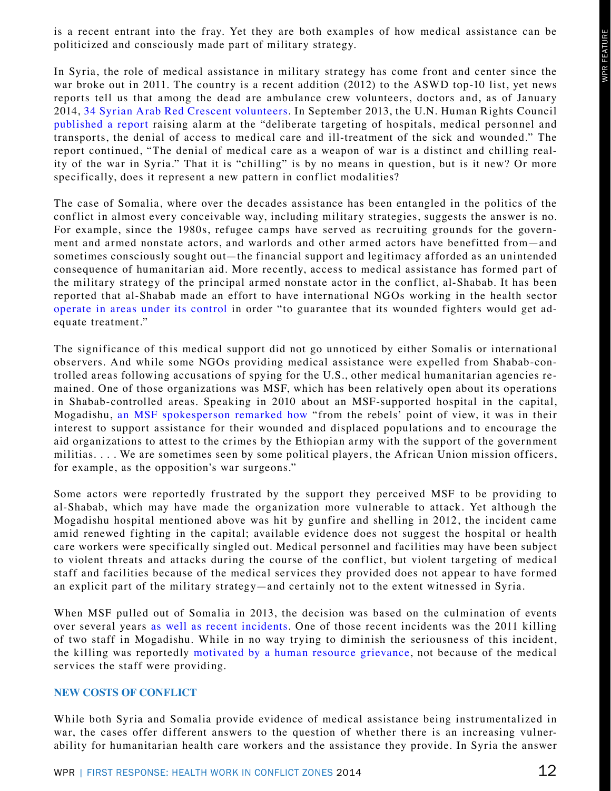is a recent entrant into the fray. Yet they are both examples of how medical assistance can be politicized and consciously made part of military strategy.

In Syria, the role of medical assistance in military strategy has come front and center since the war broke out in 2011. The country is a recent addition (2012) to the ASWD top-10 list, yet news reports tell us that among the dead are ambulance crew volunteers, doctors and, as of January 2014, [34 Syrian Arab Red Crescent volunteers.](http://www.icrc.org/eng/resources/documents/statement/2014/01-12-syria-sarc-death-aid-worker.htm) In September 2013, the U.N. Human Rights Council [published a report](http://www.ohchr.org/EN/HRBodies/HRC/RegularSessions/Session24/Documents/A-HRC-24-CRP-2.doc) raising alarm at the "deliberate targeting of hospitals, medical personnel and transports, the denial of access to medical care and ill-treatment of the sick and wounded." The report continued, "The denial of medical care as a weapon of war is a distinct and chilling reality of the war in Syria." That it is "chilling" is by no means in question, but is it new? Or more specifically, does it represent a new pattern in conflict modalities?

The case of Somalia, where over the decades assistance has been entangled in the politics of the conflict in almost every conceivable way, including military strategies, suggests the answer is no. For example, since the 1980s, refugee camps have served as recruiting grounds for the government and armed nonstate actors, and warlords and other armed actors have benefitted from—and sometimes consciously sought out—the financial support and legitimacy afforded as an unintended consequence of humanitarian aid. More recently, access to medical assistance has formed part of the military strategy of the principal armed nonstate actor in the conflict, al-Shabab. It has been reported that al-Shabab made an effort to have international NGOs working in the health sector [operate in areas under its control](http://www.sciencespo.fr/ceri/en/content/rise-jihadi-movement-country-war-harakat-al-shabaab-al-mujaheddin-somalia) in order "to guarantee that its wounded fighters would get adequate treatment."

The significance of this medical support did not go unnoticed by either Somalis or international observers. And while some NGOs providing medical assistance were expelled from Shabab-controlled areas following accusations of spying for the U.S., other medical humanitarian agencies remained. One of those organizations was MSF, which has been relatively open about its operations in Shabab-controlled areas. Speaking in 2010 about an MSF-supported hospital in the capital, Mogadishu, [an MSF spokesperson remarked how](http://www.msf.org/article/publication-humanitarian-negotiations-revealed) "from the rebels' point of view, it was in their interest to support assistance for their wounded and displaced populations and to encourage the aid organizations to attest to the crimes by the Ethiopian army with the support of the government militias. . . . We are sometimes seen by some political players, the African Union mission officers, for example, as the opposition's war surgeons."

Some actors were reportedly frustrated by the support they perceived MSF to be providing to al-Shabab, which may have made the organization more vulnerable to attack. Yet although the Mogadishu hospital mentioned above was hit by gunfire and shelling in 2012, the incident came amid renewed fighting in the capital; available evidence does not suggest the hospital or health care workers were specifically singled out. Medical personnel and facilities may have been subject to violent threats and attacks during the course of the conflict, but violent targeting of medical staff and facilities because of the medical services they provided does not appear to have formed an explicit part of the military strategy—and certainly not to the extent witnessed in Syria.

When MSF pulled out of Somalia in 2013, the decision was based on the culmination of events over several years [as well as recent incidents.](http://www.doctorswithoutborders.org/article/msf-forced-close-all-medical-programs-somalia?id=6985&cat=press-release) One of those recent incidents was the 2011 killing of two staff in Mogadishu. While in no way trying to diminish the seriousness of this incident, the killing was reportedly [motivated by a human resource grievance,](http://www.foxnews.com/world/2013/08/14/doctors-without-borders-pulls-out-somalia) not because of the medical services the staff were providing.

#### **NEW COSTS OF CONFLICT**

While both Syria and Somalia provide evidence of medical assistance being instrumentalized in war, the cases offer different answers to the question of whether there is an increasing vulnerability for humanitarian health care workers and the assistance they provide. In Syria the answer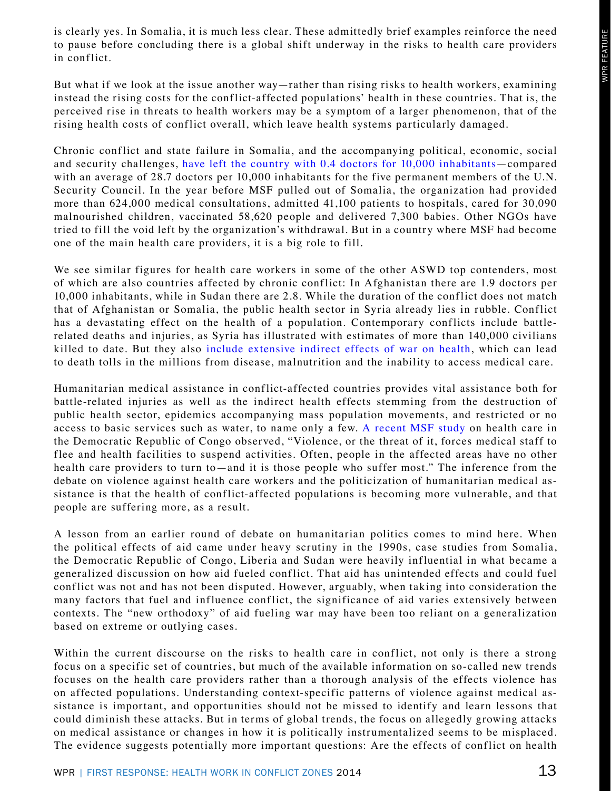is clearly yes. In Somalia, it is much less clear. These admittedly brief examples reinforce the need to pause before concluding there is a global shift underway in the risks to health care providers in conflict.

But what if we look at the issue another way—rather than rising risks to health workers, examining instead the rising costs for the conflict-affected populations' health in these countries. That is, the perceived rise in threats to health workers may be a symptom of a larger phenomenon, that of the rising health costs of conflict overall, which leave health systems particularly damaged.

Chronic conflict and state failure in Somalia, and the accompanying political, economic, social and security challenges, [have left the country with 0.4 doctors for 10,000 inhabitants](http://apps.who.int/iris/bitstream/10665/81965/1/9789241564588_eng.pdf?ua=1)—compared with an average of 28.7 doctors per 10,000 inhabitants for the five permanent members of the U.N. Security Council. In the year before MSF pulled out of Somalia, the organization had provided more than 624,000 medical consultations, admitted 41,100 patients to hospitals, cared for 30,090 malnourished children, vaccinated 58,620 people and delivered 7,300 babies. Other NGOs have tried to fill the void left by the organization's withdrawal. But in a country where MSF had become one of the main health care providers, it is a big role to fill.

We see similar figures for health care workers in some of the other ASWD top contenders, most of which are also countries affected by chronic conflict: In Afghanistan there are 1.9 doctors per 10,000 inhabitants, while in Sudan there are 2.8. While the duration of the conflict does not match that of Afghanistan or Somalia, the public health sector in Syria already lies in rubble. Conflict has a devastating effect on the health of a population. Contemporary conflicts include battlerelated deaths and injuries, as Syria has illustrated with estimates of more than 140,000 civilians killed to date. But they also [include extensive indirect effects of war on health](http://www.rescue.org/news/irc-study-shows-congos-neglected-crisis-leaves-54-million-dead-peace-deal-n-kivu-increased-aid%E2%80%944331), which can lead to death tolls in the millions from disease, malnutrition and the inability to access medical care.

Humanitarian medical assistance in conflict-affected countries provides vital assistance both for battle-related injuries as well as the indirect health effects stemming from the destruction of public health sector, epidemics accompanying mass population movements, and restricted or no access to basic services such as water, to name only a few. [A recent MSF study](http://reliefweb.int/sites/reliefweb.int/files/resources/drcreportfeb2014_0.pdf) on health care in the Democratic Republic of Congo observed, "Violence, or the threat of it, forces medical staff to flee and health facilities to suspend activities. Often, people in the affected areas have no other health care providers to turn to—and it is those people who suffer most." The inference from the debate on violence against health care workers and the politicization of humanitarian medical assistance is that the health of conflict-affected populations is becoming more vulnerable, and that people are suffering more, as a result.

A lesson from an earlier round of debate on humanitarian politics comes to mind here. When the political effects of aid came under heavy scrutiny in the 1990s, case studies from Somalia, the Democratic Republic of Congo, Liberia and Sudan were heavily influential in what became a generalized discussion on how aid fueled conflict. That aid has unintended effects and could fuel conflict was not and has not been disputed. However, arguably, when taking into consideration the many factors that fuel and influence conflict, the significance of aid varies extensively between contexts. The "new orthodoxy" of aid fueling war may have been too reliant on a generalization based on extreme or outlying cases.

Within the current discourse on the risks to health care in conflict, not only is there a strong focus on a specific set of countries, but much of the available information on so-called new trends focuses on the health care providers rather than a thorough analysis of the effects violence has on affected populations. Understanding context-specific patterns of violence against medical assistance is important, and opportunities should not be missed to identify and learn lessons that could diminish these attacks. But in terms of global trends, the focus on allegedly growing attacks on medical assistance or changes in how it is politically instrumentalized seems to be misplaced. The evidence suggests potentially more important questions: Are the effects of conflict on health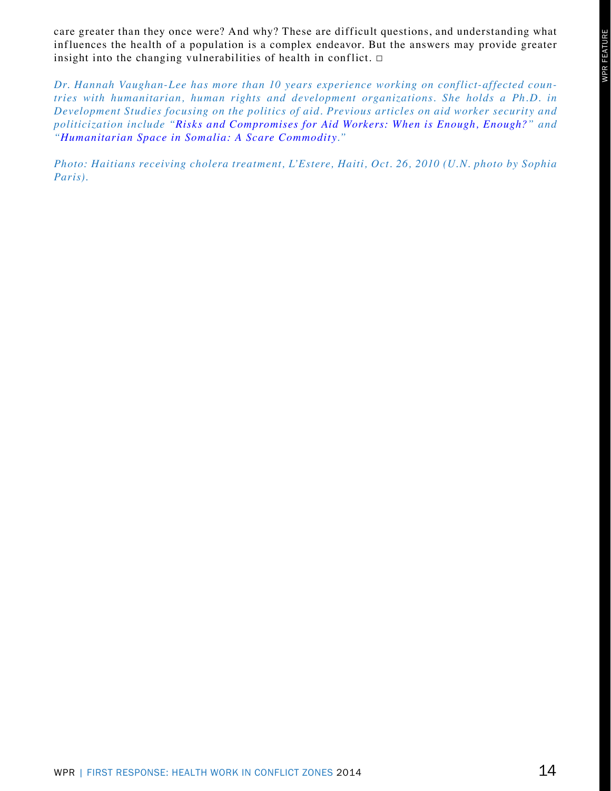care greater than they once were? And why? These are difficult questions, and understanding what influences the health of a population is a complex endeavor. But the answers may provide greater insight into the changing vulnerabilities of health in conflict.  $\Box$ 

*Dr. Hannah Vaughan-Lee has more than 10 years experience working on conflict-affected countries with humanitarian, human rights and development organizations. She holds a Ph. D. in Development Studies focusing on the politics of aid. Previous articles on aid worker security and politicization include "[Risks and Compromises for Aid Workers: When is Enough, Enough?](http://www.theguardian.com/global-development-professionals-network/2013/aug/28/risks-compromises-aid-workers-somalia)" and "[Humanitarian Space in Somalia: A Scare Commodity.](http://www.odi.org.uk/publications/6430-humanitarian-space-somalia-aid-workers-principles)"*

*Photo: Haitians receiving cholera treatment, L'Estere, Haiti, Oct. 26, 2010 (U. N. photo by Sophia Paris).*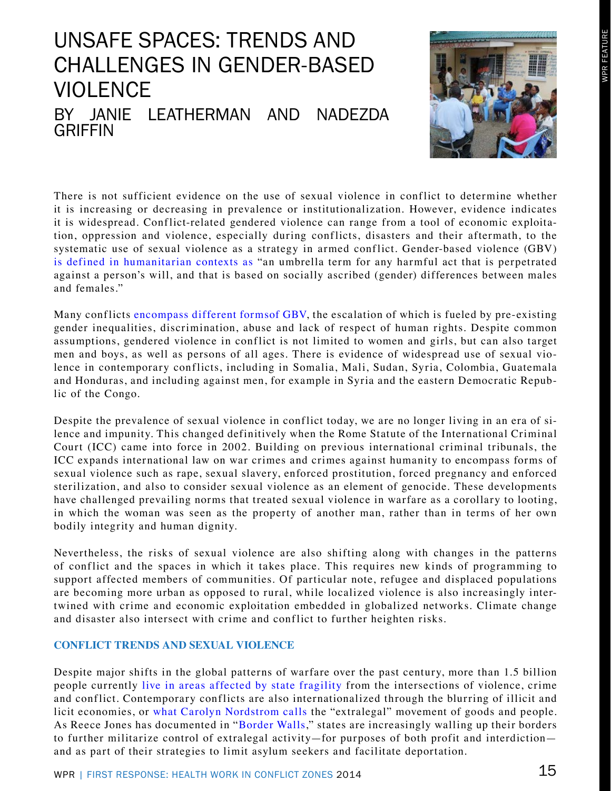## <span id="page-15-0"></span>BY JANIE LEATHERMAN AND NADEZDA **GRIFFIN** UNSAFE SPACES: TRENDS AND CHALLENGES IN GENDER-BASED VIOLENCE



There is not sufficient evidence on the use of sexual violence in conflict to determine whether it is increasing or decreasing in prevalence or institutionalization. However, evidence indicates it is widespread. Conflict-related gendered violence can range from a tool of economic exploitation, oppression and violence, especially during conflicts, disasters and their aftermath, to the systematic use of sexual violence as a strategy in armed conflict. Gender-based violence (GBV) [is defined in humanitarian contexts as](http://www.humanitarianinfo.org/iasc/downloadDoc.aspx?docID=4402) "an umbrella term for any harmful act that is perpetrated against a person's will, and that is based on socially ascribed (gender) differences between males and females."

Many conflicts [encompass different formsof GBV,](http://www.unicef.org/protection/files/GBV_Handbook_Long_Version.pdf) the escalation of which is fueled by pre-existing gender inequalities, discrimination, abuse and lack of respect of human rights. Despite common assumptions, gendered violence in conflict is not limited to women and girls, but can also target men and boys, as well as persons of all ages. There is evidence of widespread use of sexual violence in contemporary conflicts, including in Somalia, Mali, Sudan, Syria, Colombia, Guatemala and Honduras, and including against men, for example in Syria and the eastern Democratic Republic of the Congo.

Despite the prevalence of sexual violence in conflict today, we are no longer living in an era of silence and impunity. This changed definitively when the Rome Statute of the International Criminal Court (ICC) came into force in 2002. Building on previous international criminal tribunals, the ICC expands international law on war crimes and crimes against humanity to encompass forms of sexual violence such as rape, sexual slavery, enforced prostitution, forced pregnancy and enforced sterilization, and also to consider sexual violence as an element of genocide. These developments have challenged prevailing norms that treated sexual violence in warfare as a corollary to looting, in which the woman was seen as the property of another man, rather than in terms of her own bodily integrity and human dignity.

Nevertheless, the risks of sexual violence are also shifting along with changes in the patterns of conflict and the spaces in which it takes place. This requires new kinds of programming to support affected members of communities. Of particular note, refugee and displaced populations are becoming more urban as opposed to rural, while localized violence is also increasingly intertwined with crime and economic exploitation embedded in globalized networks. Climate change and disaster also intersect with crime and conflict to further heighten risks.

#### **CONFLICT TRENDS AND SEXUAL VIOLENCE**

Despite major shifts in the global patterns of warfare over the past century, more than 1.5 billion people currently [live in areas affected by state fragility](http://www.international-alert.org/resources/publications/crime-violence-and-conflict) from the intersections of violence, crime and conflict. Contemporary conflicts are also internationalized through the blurring of illicit and licit economies, or [what Carolyn Nordstrom calls](http://www.amazon.com/gp/product/0520250966/ref=as_li_ss_tl?ie=UTF8&camp=1789&creative=390957&creativeASIN=0520250966&linkCode=as2&tag=worlpolirevi-20) the "extralegal" movement of goods and people. As Reece Jones has documented in "[Border Walls](http://www.amazon.com/gp/product/1848138237/ref=as_li_ss_tl?ie=UTF8&camp=1789&creative=390957&creativeASIN=1848138237&linkCode=as2&tag=worlpolirevi-20)," states are increasingly walling up their borders to further militarize control of extralegal activity—for purposes of both profit and interdiction and as part of their strategies to limit asylum seekers and facilitate deportation.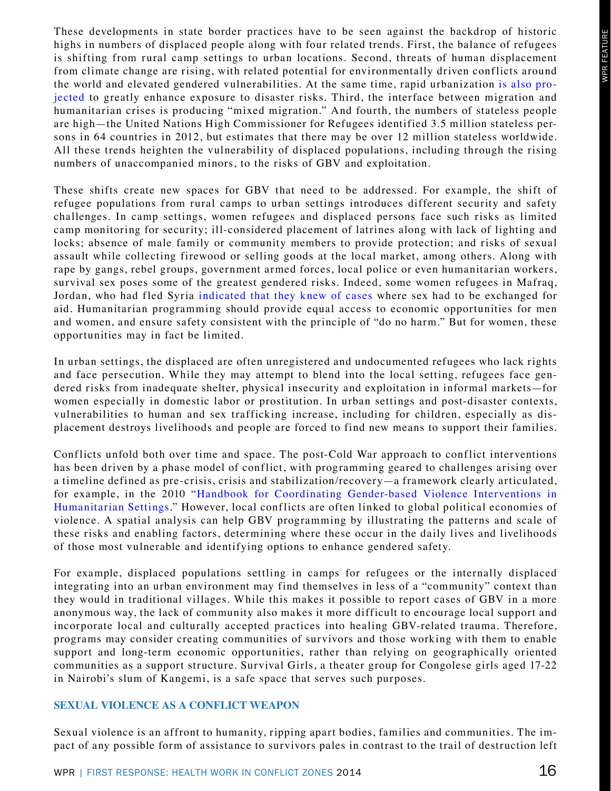These developments in state border practices have to be seen against the backdrop of historic highs in numbers of displaced people along with four related trends. First, the balance of refugees is shifting from rural camp settings to urban locations. Second, threats of human displacement from climate change are rising, with related potential for environmentally driven conflicts around the world and elevated gendered vulnerabilities. At the same time, rapid urbanization [is also pro](http://www.unisdr.org/we/inform/publications/25129)[jected](http://www.unisdr.org/we/inform/publications/25129) to greatly enhance exposure to disaster risks. Third, the interface between migration and humanitarian crises is producing "mixed migration." And fourth, the numbers of stateless people are high—the United Nations High Commissioner for Refugees identified 3.5 million stateless persons in 64 countries in 2012, but estimates that there may be over 12 million stateless worldwide. All these trends heighten the vulnerability of displaced populations, including through the rising numbers of unaccompanied minors, to the risks of GBV and exploitation.

These shifts create new spaces for GBV that need to be addressed. For example, the shift of refugee populations from rural camps to urban settings introduces different security and safety challenges. In camp settings, women refugees and displaced persons face such risks as limited camp monitoring for security; ill-considered placement of latrines along with lack of lighting and locks; absence of male family or community members to provide protection; and risks of sexual assault while collecting firewood or selling goods at the local market, among others. Along with rape by gangs, rebel groups, government armed forces, local police or even humanitarian workers, survival sex poses some of the greatest gendered risks. Indeed, some women refugees in Mafraq, Jordan, who had fled Syria [indicated that they knew of cases](http://data.unhcr.org/syrianrefugees/download.php?id=1514) where sex had to be exchanged for aid. Humanitarian programming should provide equal access to economic opportunities for men and women, and ensure safety consistent with the principle of "do no harm." But for women, these opportunities may in fact be limited.

In urban settings, the displaced are often unregistered and undocumented refugees who lack rights and face persecution. While they may attempt to blend into the local setting, refugees face gendered risks from inadequate shelter, physical insecurity and exploitation in informal markets—for women especially in domestic labor or prostitution. In urban settings and post-disaster contexts, vulnerabilities to human and sex trafficking increase, including for children, especially as displacement destroys livelihoods and people are forced to find new means to support their families.

Conflicts unfold both over time and space. The post-Cold War approach to conflict interventions has been driven by a phase model of conflict, with programming geared to challenges arising over a timeline defined as pre-crisis, crisis and stabilization/recovery—a framework clearly articulated, for example, in the 2010 "[Handbook for Coordinating Gender-based Violence Interventions in](http://www.unicef.org/protection/files/GBV_Handbook_Long_Version.pdf)  [Humanitarian Settings.](http://www.unicef.org/protection/files/GBV_Handbook_Long_Version.pdf)" However, local conflicts are often linked to global political economies of violence. A spatial analysis can help GBV programming by illustrating the patterns and scale of these risks and enabling factors, determining where these occur in the daily lives and livelihoods of those most vulnerable and identifying options to enhance gendered safety.

For example, displaced populations settling in camps for refugees or the internally displaced integrating into an urban environment may find themselves in less of a "community" context than they would in traditional villages. While this makes it possible to report cases of GBV in a more anonymous way, the lack of community also makes it more difficult to encourage local support and incorporate local and culturally accepted practices into healing GBV-related trauma. Therefore, programs may consider creating communities of survivors and those working with them to enable support and long-term economic opportunities, rather than relying on geographically oriented communities as a support structure. Survival Girls, a theater group for Congolese girls aged 17-22 in Nairobi's slum of Kangemi, is a safe space that serves such purposes.

#### **SEXUAL VIOLENCE AS A CONFLICT WEAPON**

Sexual violence is an affront to humanity, ripping apart bodies, families and communities. The impact of any possible form of assistance to survivors pales in contrast to the trail of destruction left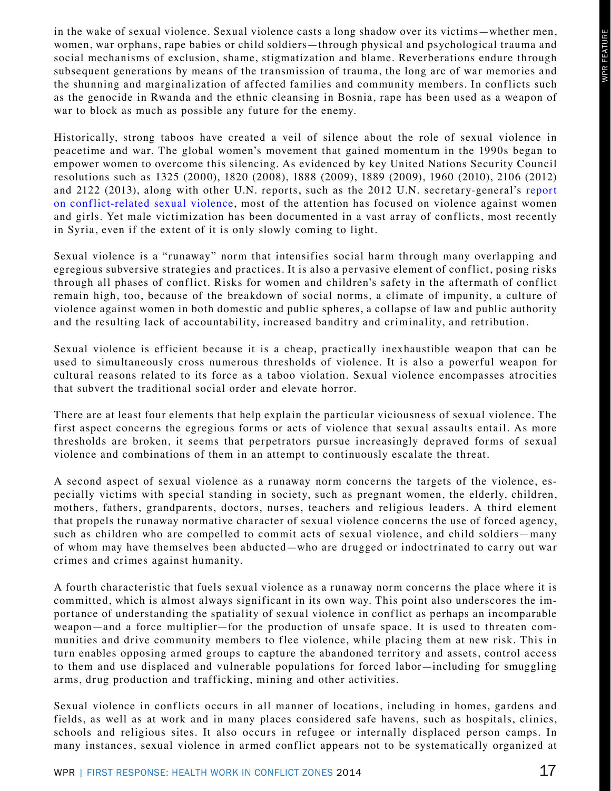in the wake of sexual violence. Sexual violence casts a long shadow over its victims—whether men, women, war orphans, rape babies or child soldiers—through physical and psychological trauma and social mechanisms of exclusion, shame, stigmatization and blame. Reverberations endure through subsequent generations by means of the transmission of trauma, the long arc of war memories and the shunning and marginalization of affected families and community members. In conflicts such as the genocide in Rwanda and the ethnic cleansing in Bosnia, rape has been used as a weapon of war to block as much as possible any future for the enemy.

Historically, strong taboos have created a veil of silence about the role of sexual violence in peacetime and war. The global women's movement that gained momentum in the 1990s began to empower women to overcome this silencing. As evidenced by key United Nations Security Council resolutions such as 1325 (2000), 1820 (2008), 1888 (2009), 1889 (2009), 1960 (2010), 2106 (2012) and 2122 (2013), along with other U.N. reports, such as the 2012 U.N. secretary-general's [report](https://www.unodc.org/documents/frontpage/A-66-657.pdf)  [on conflict-related sexual violence](https://www.unodc.org/documents/frontpage/A-66-657.pdf), most of the attention has focused on violence against women and girls. Yet male victimization has been documented in a vast array of conflicts, most recently in Syria, even if the extent of it is only slowly coming to light.

Sexual violence is a "runaway" norm that intensifies social harm through many overlapping and egregious subversive strategies and practices. It is also a pervasive element of conflict, posing risks through all phases of conflict. Risks for women and children's safety in the aftermath of conflict remain high, too, because of the breakdown of social norms, a climate of impunity, a culture of violence against women in both domestic and public spheres, a collapse of law and public authority and the resulting lack of accountability, increased banditry and criminality, and retribution.

Sexual violence is efficient because it is a cheap, practically inexhaustible weapon that can be used to simultaneously cross numerous thresholds of violence. It is also a powerful weapon for cultural reasons related to its force as a taboo violation. Sexual violence encompasses atrocities that subvert the traditional social order and elevate horror.

There are at least four elements that help explain the particular viciousness of sexual violence. The first aspect concerns the egregious forms or acts of violence that sexual assaults entail. As more thresholds are broken, it seems that perpetrators pursue increasingly depraved forms of sexual violence and combinations of them in an attempt to continuously escalate the threat.

A second aspect of sexual violence as a runaway norm concerns the targets of the violence, especially victims with special standing in society, such as pregnant women, the elderly, children, mothers, fathers, grandparents, doctors, nurses, teachers and religious leaders. A third element that propels the runaway normative character of sexual violence concerns the use of forced agency, such as children who are compelled to commit acts of sexual violence, and child soldiers—many of whom may have themselves been abducted—who are drugged or indoctrinated to carry out war crimes and crimes against humanity.

A fourth characteristic that fuels sexual violence as a runaway norm concerns the place where it is committed, which is almost always significant in its own way. This point also underscores the importance of understanding the spatiality of sexual violence in conflict as perhaps an incomparable weapon—and a force multiplier—for the production of unsafe space. It is used to threaten communities and drive community members to flee violence, while placing them at new risk. This in turn enables opposing armed groups to capture the abandoned territory and assets, control access to them and use displaced and vulnerable populations for forced labor—including for smuggling arms, drug production and trafficking, mining and other activities.

Sexual violence in conflicts occurs in all manner of locations, including in homes, gardens and fields, as well as at work and in many places considered safe havens, such as hospitals, clinics, schools and religious sites. It also occurs in refugee or internally displaced person camps. In many instances, sexual violence in armed conflict appears not to be systematically organized at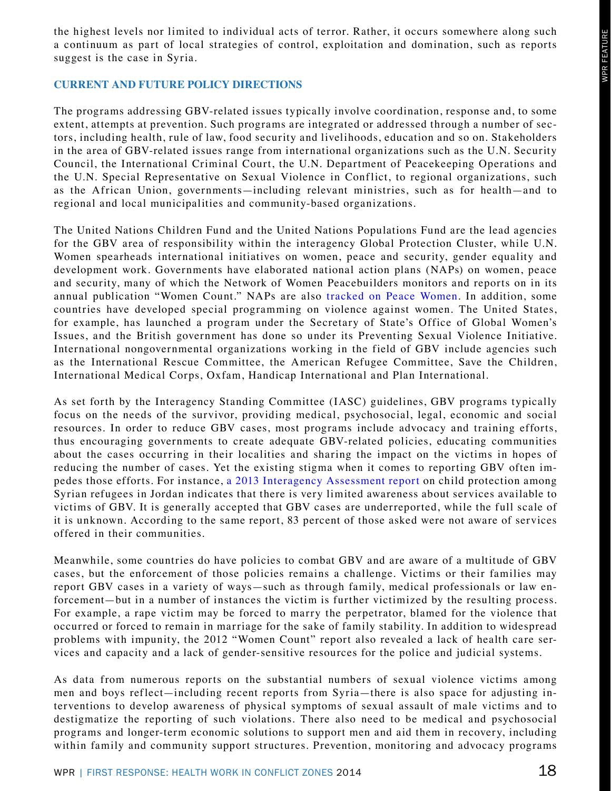the highest levels nor limited to individual acts of terror. Rather, it occurs somewhere along such a continuum as part of local strategies of control, exploitation and domination, such as reports suggest is the case in Syria.

## **CURRENT AND FUTURE POLICY DIRECTIONS**

The programs addressing GBV-related issues typically involve coordination, response and, to some extent, attempts at prevention. Such programs are integrated or addressed through a number of sectors, including health, rule of law, food security and livelihoods, education and so on. Stakeholders in the area of GBV-related issues range from international organizations such as the U.N. Security Council, the International Criminal Court, the U.N. Department of Peacekeeping Operations and the U.N. Special Representative on Sexual Violence in Conflict, to regional organizations, such as the African Union, governments—including relevant ministries, such as for health—and to regional and local municipalities and community-based organizations.

The United Nations Children Fund and the United Nations Populations Fund are the lead agencies for the GBV area of responsibility within the interagency Global Protection Cluster, while U.N. Women spearheads international initiatives on women, peace and security, gender equality and development work. Governments have elaborated national action plans (NAPs) on women, peace and security, many of which the Network of Women Peacebuilders monitors and reports on in its annual publication "Women Count." NAPs are also [tracked on Peace Women.](http://www.peacewomen.org/) In addition, some countries have developed special programming on violence against women. The United States, for example, has launched a program under the Secretary of State's Office of Global Women's Issues, and the British government has done so under its Preventing Sexual Violence Initiative. International nongovernmental organizations working in the field of GBV include agencies such as the International Rescue Committee, the American Refugee Committee, Save the Children, International Medical Corps, Oxfam, Handicap International and Plan International.

As set forth by the Interagency Standing Committee (IASC) guidelines, GBV programs typically focus on the needs of the survivor, providing medical, psychosocial, legal, economic and social resources. In order to reduce GBV cases, most programs include advocacy and training efforts, thus encouraging governments to create adequate GBV-related policies, educating communities about the cases occurring in their localities and sharing the impact on the victims in hopes of reducing the number of cases. Yet the existing stigma when it comes to reporting GBV often impedes those efforts. For instance, [a 2013 Interagency Assessment report](http://www.google.com/url?sa=t&rct=j&q=&esrc=s&source=web&cd=1&ved=0CC4QFjAA&url=http%3A%2F%2Fdata.unhcr.org%2Fsyrianrefugees%2Fdownload.php%3Fid%3D4351&ei=wVMwU9_9Nc-EkQfUvYGQBQ&usg=AFQjCNEYVGisPr0E5AWLHhu4F25uwU5Q5w&bvm=bv.62922401,d.eW0) on child protection among Syrian refugees in Jordan indicates that there is very limited awareness about services available to victims of GBV. It is generally accepted that GBV cases are underreported, while the full scale of it is unknown. According to the same report, 83 percent of those asked were not aware of services offered in their communities.

Meanwhile, some countries do have policies to combat GBV and are aware of a multitude of GBV cases, but the enforcement of those policies remains a challenge. Victims or their families may report GBV cases in a variety of ways—such as through family, medical professionals or law enforcement—but in a number of instances the victim is further victimized by the resulting process. For example, a rape victim may be forced to marry the perpetrator, blamed for the violence that occurred or forced to remain in marriage for the sake of family stability. In addition to widespread problems with impunity, the 2012 "Women Count" report also revealed a lack of health care services and capacity and a lack of gender-sensitive resources for the police and judicial systems.

As data from numerous reports on the substantial numbers of sexual violence victims among men and boys reflect—including recent reports from Syria—there is also space for adjusting interventions to develop awareness of physical symptoms of sexual assault of male victims and to destigmatize the reporting of such violations. There also need to be medical and psychosocial programs and longer-term economic solutions to support men and aid them in recovery, including within family and community support structures. Prevention, monitoring and advocacy programs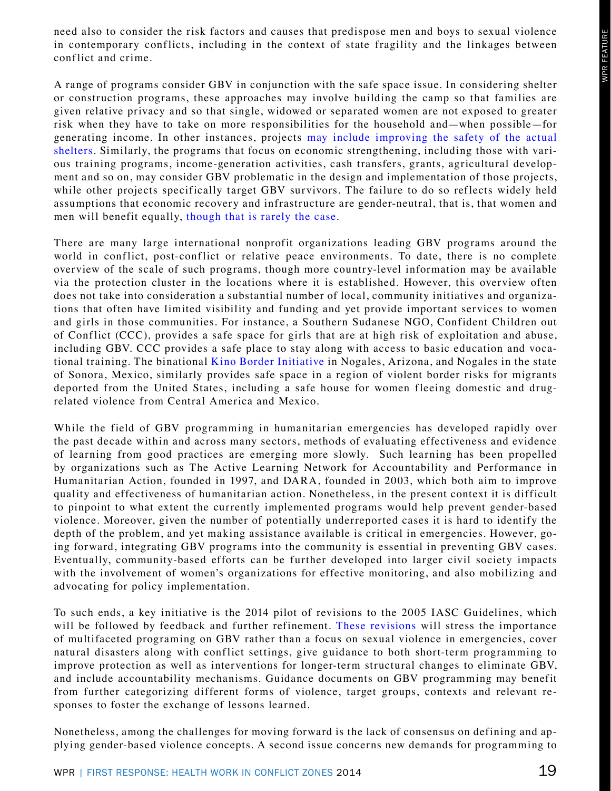need also to consider the risk factors and causes that predispose men and boys to sexual violence in contemporary conflicts, including in the context of state fragility and the linkages between conflict and crime.

A range of programs consider GBV in conjunction with the safe space issue. In considering shelter or construction programs, these approaches may involve building the camp so that families are given relative privacy and so that single, widowed or separated women are not exposed to greater risk when they have to take on more responsibilities for the household and—when possible—for generating income. In other instances, projects [may include improving the safety of the actual](http://www.unhcr.org/51b6e1ff9.pdf) [shelters](http://www.unhcr.org/51b6e1ff9.pdf). Similarly, the programs that focus on economic strengthening, including those with various training programs, income-generation activities, cash transfers, grants, agricultural development and so on, may consider GBV problematic in the design and implementation of those projects, while other projects specifically target GBV survivors. The failure to do so reflects widely held assumptions that economic recovery and infrastructure are gender-neutral, that is, that women and men will benefit equally, [though that is rarely the case.](http://www.unwomen.org/%7E/media/Headquarters/Media/Publications/en/05APlanningandFinancing.pdf)

There are many large international nonprofit organizations leading GBV programs around the world in conflict, post-conflict or relative peace environments. To date, there is no complete overview of the scale of such programs, though more country-level information may be available via the protection cluster in the locations where it is established. However, this overview often does not take into consideration a substantial number of local, community initiatives and organizations that often have limited visibility and funding and yet provide important services to women and girls in those communities. For instance, a Southern Sudanese NGO, Confident Children out of Conflict (CCC), provides a safe space for girls that are at high risk of exploitation and abuse, including GBV. CCC provides a safe place to stay along with access to basic education and vocational training. The binational [Kino Border Initiative](http://www.jesuit.org/jesuits/wp-content/uploads/Kino_FULL-REPORT_web.pdf) in Nogales, Arizona, and Nogales in the state of Sonora, Mexico, similarly provides safe space in a region of violent border risks for migrants deported from the United States, including a safe house for women fleeing domestic and drugrelated violence from Central America and Mexico.

While the field of GBV programming in humanitarian emergencies has developed rapidly over the past decade within and across many sectors, methods of evaluating effectiveness and evidence of learning from good practices are emerging more slowly. Such learning has been propelled by organizations such as The Active Learning Network for Accountability and Performance in Humanitarian Action, founded in 1997, and DARA, founded in 2003, which both aim to improve quality and effectiveness of humanitarian action. Nonetheless, in the present context it is difficult to pinpoint to what extent the currently implemented programs would help prevent gender-based violence. Moreover, given the number of potentially underreported cases it is hard to identify the depth of the problem, and yet making assistance available is critical in emergencies. However, going forward, integrating GBV programs into the community is essential in preventing GBV cases. Eventually, community-based efforts can be further developed into larger civil society impacts with the involvement of women's organizations for effective monitoring, and also mobilizing and advocating for policy implementation.

To such ends, a key initiative is the 2014 pilot of revisions to the 2005 IASC Guidelines, which will be followed by feedback and further refinement. [These revisions](http://reliefweb.int/report/world/gender-based-violence-emergencies-humanitarian-exchange-magazine-issue-60) will stress the importance of multifaceted programing on GBV rather than a focus on sexual violence in emergencies, cover natural disasters along with conflict settings, give guidance to both short-term programming to improve protection as well as interventions for longer-term structural changes to eliminate GBV, and include accountability mechanisms. Guidance documents on GBV programming may benefit from further categorizing different forms of violence, target groups, contexts and relevant responses to foster the exchange of lessons learned.

Nonetheless, among the challenges for moving forward is the lack of consensus on defining and applying gender-based violence concepts. A second issue concerns new demands for programming to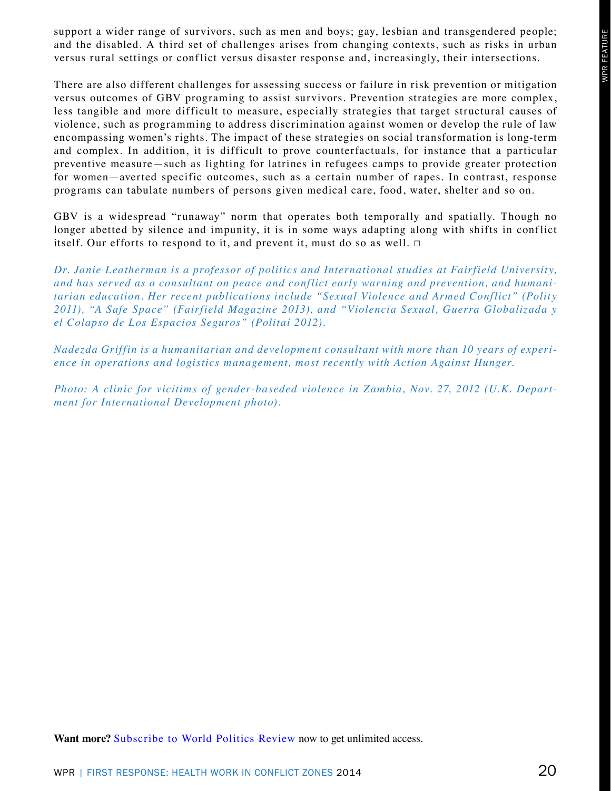support a wider range of survivors, such as men and boys; gay, lesbian and transgendered people; and the disabled. A third set of challenges arises from changing contexts, such as risks in urban versus rural settings or conflict versus disaster response and, increasingly, their intersections.

There are also different challenges for assessing success or failure in risk prevention or mitigation versus outcomes of GBV programing to assist survivors. Prevention strategies are more complex, less tangible and more difficult to measure, especially strategies that target structural causes of violence, such as programming to address discrimination against women or develop the rule of law encompassing women's rights. The impact of these strategies on social transformation is long-term and complex. In addition, it is difficult to prove counterfactuals, for instance that a particular preventive measure—such as lighting for latrines in refugees camps to provide greater protection for women—averted specific outcomes, such as a certain number of rapes. In contrast, response programs can tabulate numbers of persons given medical care, food, water, shelter and so on.

GBV is a widespread "runaway" norm that operates both temporally and spatially. Though no longer abetted by silence and impunity, it is in some ways adapting along with shifts in conflict itself. Our efforts to respond to it, and prevent it, must do so as well.  $\Box$ 

*Dr. Janie Leatherman is a professor of politics and International studies at Fairfield University, and has served as a consultant on peace and conflict early warning and prevention, and humanitarian education. Her recent publications include "Sexual Violence and Armed Conflict" (Polity 2011), "A Safe Space" (Fairfield Magazine 2013), and "Violencia Sexual, Guerra Globalizada y el Colapso de Los Espacios Seguros" (Politai 2012).*

*Nadezda Griffin is a humanitarian and development consultant with more than 10 years of experience in operations and logistics management, most recently with Action Against Hunger.*

*Photo: A clinic for vicitims of gender-baseded violence in Zambia, Nov. 27, 2012 (U.K. Department for International Development photo).*

Want more? Subscribe to World Politics Review now to get unlimited access.